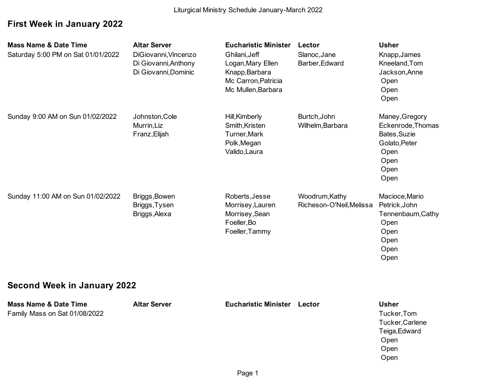# **First Week in January 2022**

| <b>Mass Name &amp; Date Time</b><br>Saturday 5:00 PM on Sat 01/01/2022 | <b>Altar Server</b><br>DiGiovanni, Vincenzo<br>Di Giovanni, Anthony<br>Di Giovanni, Dominic | <b>Eucharistic Minister</b><br>Ghilani, Jeff<br>Logan, Mary Ellen<br>Knapp, Barbara<br>Mc Carron, Patricia<br>Mc Mullen, Barbara | Lector<br>Slanoc, Jane<br>Barber, Edward   | <b>Usher</b><br>Knapp, James<br>Kneeland, Tom<br>Jackson, Anne<br>Open<br>Open<br>Open               |  |
|------------------------------------------------------------------------|---------------------------------------------------------------------------------------------|----------------------------------------------------------------------------------------------------------------------------------|--------------------------------------------|------------------------------------------------------------------------------------------------------|--|
| Sunday 9:00 AM on Sun 01/02/2022                                       | Johnston, Cole<br>Murrin, Liz<br>Franz, Elijah                                              | Hill, Kimberly<br>Smith, Kristen<br>Turner, Mark<br>Polk, Megan<br>Valido, Laura                                                 | Burtch, John<br>Wilhelm, Barbara           | Maney, Gregory<br>Eckenrode, Thomas<br>Bates, Suzie<br>Golato, Peter<br>Open<br>Open<br>Open<br>Open |  |
| Sunday 11:00 AM on Sun 01/02/2022                                      | Briggs, Bowen<br>Briggs, Tysen<br>Briggs, Alexa                                             | Roberts, Jesse<br>Morrisey, Lauren<br>Morrisey, Sean<br>Foeller, Bo<br>Foeller, Tammy                                            | Woodrum, Kathy<br>Richeson-O'Neil, Melissa | Macioce, Mario<br>Petrick, John<br>Tennenbaum, Cathy<br>Open<br>Open<br>Open<br>Open<br>Open         |  |
| <b>Second Week in January 2022</b>                                     |                                                                                             |                                                                                                                                  |                                            |                                                                                                      |  |
| <b>Mass Name &amp; Date Time</b><br>Family Mass on Sat 01/08/2022      | <b>Altar Server</b>                                                                         | <b>Eucharistic Minister Lector</b>                                                                                               |                                            | <b>Usher</b><br>Tucker, Tom<br>Tucker, Carlene<br>Teiga, Edward<br>Open                              |  |

 Open Open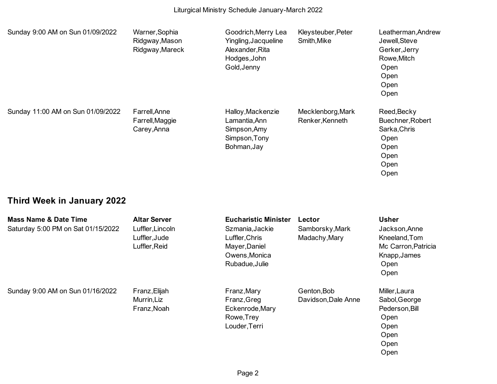| Sunday 9:00 AM on Sun 01/09/2022  | Warner, Sophia<br>Ridgway, Mason<br>Ridgway, Mareck | Goodrich, Merry Lea<br>Yingling, Jacqueline<br>Alexander, Rita<br>Hodges, John<br>Gold, Jenny | Kleysteuber, Peter<br>Smith, Mike    | Leatherman, Andrew<br>Jewell, Steve<br>Gerker, Jerry<br>Rowe, Mitch<br>Open<br>Open<br>Open<br>Open |
|-----------------------------------|-----------------------------------------------------|-----------------------------------------------------------------------------------------------|--------------------------------------|-----------------------------------------------------------------------------------------------------|
| Sunday 11:00 AM on Sun 01/09/2022 | Farrell, Anne<br>Farrell, Maggie<br>Carey, Anna     | Halloy, Mackenzie<br>Lamantia, Ann<br>Simpson, Amy<br>Simpson, Tony<br>Bohman, Jay            | Mecklenborg, Mark<br>Renker, Kenneth | Reed, Becky<br>Buechner, Robert<br>Sarka, Chris<br>Open<br>Open<br>Open<br>Open<br>Open             |

# **Third Week in January 2022**

| <b>Mass Name &amp; Date Time</b><br>Saturday 5:00 PM on Sat 01/15/2022 | <b>Altar Server</b><br>Luffler, Lincoln<br>Luffler, Jude<br>Luffler, Reid | <b>Eucharistic Minister</b><br>Szmania, Jackie<br>Luffler, Chris<br>Mayer, Daniel<br>Owens, Monica<br>Rubadue, Julie | Lector<br>Samborsky, Mark<br>Madachy, Mary | <b>Usher</b><br>Jackson, Anne<br>Kneeland, Tom<br>Mc Carron, Patricia<br>Knapp, James<br>Open<br>Open |
|------------------------------------------------------------------------|---------------------------------------------------------------------------|----------------------------------------------------------------------------------------------------------------------|--------------------------------------------|-------------------------------------------------------------------------------------------------------|
| Sunday 9:00 AM on Sun 01/16/2022                                       | Franz, Elijah<br>Murrin, Liz<br>Franz, Noah                               | Franz, Mary<br>Franz, Greg<br>Eckenrode, Mary<br>Rowe, Trey<br>Louder, Terri                                         | Genton, Bob<br>Davidson, Dale Anne         | Miller, Laura<br>Sabol, George<br>Pederson, Bill<br>Open<br>Open<br>Open<br>Open<br>Open              |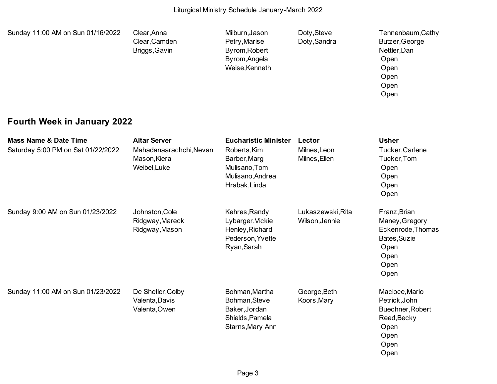| Sunday 11:00 AM on Sun 01/16/2022                                      | Clear, Anna<br>Clear, Camden<br>Briggs, Gavin                                  | Milburn, Jason<br>Petry, Marise<br>Byrom, Robert<br>Byrom, Angela<br>Weise, Kenneth                               | Doty, Steve<br>Doty, Sandra             | Tennenbaum, Cathy<br>Butzer, George<br>Nettler, Dan<br>Open<br>Open<br>Open<br>Open<br>Open         |
|------------------------------------------------------------------------|--------------------------------------------------------------------------------|-------------------------------------------------------------------------------------------------------------------|-----------------------------------------|-----------------------------------------------------------------------------------------------------|
| <b>Fourth Week in January 2022</b>                                     |                                                                                |                                                                                                                   |                                         |                                                                                                     |
| <b>Mass Name &amp; Date Time</b><br>Saturday 5:00 PM on Sat 01/22/2022 | <b>Altar Server</b><br>Mahadanaarachchi, Nevan<br>Mason, Kiera<br>Weibel, Luke | <b>Eucharistic Minister</b><br>Roberts, Kim<br>Barber, Marg<br>Mulisano, Tom<br>Mulisano, Andrea<br>Hrabak, Linda | Lector<br>Milnes, Leon<br>Milnes, Ellen | <b>Usher</b><br>Tucker, Carlene<br>Tucker, Tom<br>Open<br>Open<br>Open<br>Open                      |
| Sunday 9:00 AM on Sun 01/23/2022                                       | Johnston, Cole<br>Ridgway, Mareck<br>Ridgway, Mason                            | Kehres, Randy<br>Lybarger, Vickie<br>Henley, Richard<br>Pederson, Yvette<br>Ryan, Sarah                           | Lukaszewski, Rita<br>Wilson, Jennie     | Franz, Brian<br>Maney, Gregory<br>Eckenrode, Thomas<br>Bates, Suzie<br>Open<br>Open<br>Open<br>Open |
| Sunday 11:00 AM on Sun 01/23/2022                                      | De Shetler, Colby<br>Valenta, Davis<br>Valenta, Owen                           | Bohman, Martha<br>Bohman, Steve<br>Baker, Jordan<br>Shields, Pamela<br>Starns, Mary Ann                           | George, Beth<br>Koors, Mary             | Macioce, Mario<br>Petrick, John<br>Buechner, Robert<br>Reed, Becky<br>Open<br>Open<br>Open<br>Open  |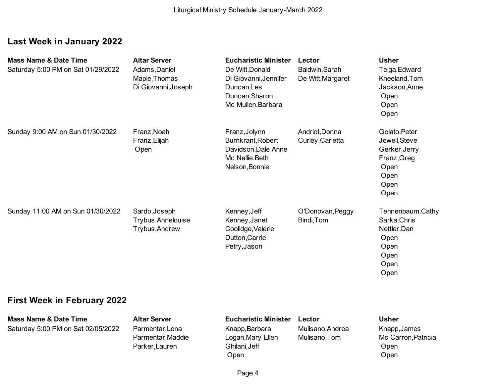# **Last Week in January 2022**

| <b>Mass Name &amp; Date Time</b><br>Saturday 5:00 PM on Sat 01/29/2022 | <b>Altar Server</b><br>Adams, Daniel<br>Maple, Thomas<br>Di Giovanni, Joseph | <b>Eucharistic Minister</b><br>De Witt, Donald<br>Di Giovanni, Jennifer<br>Duncan, Les<br>Duncan, Sharon<br>Mc Mullen, Barbara | Lector<br>Baldwin, Sarah<br>De Witt, Margaret | <b>Usher</b><br>Teiga, Edward<br>Kneeland, Tom<br>Jackson, Anne<br>Open<br>Open<br>Open        |
|------------------------------------------------------------------------|------------------------------------------------------------------------------|--------------------------------------------------------------------------------------------------------------------------------|-----------------------------------------------|------------------------------------------------------------------------------------------------|
| Sunday 9:00 AM on Sun 01/30/2022                                       | Franz, Noah<br>Franz, Elijah<br>Open                                         | Franz, Jolynn<br>Burnkrant, Robert<br>Davidson, Dale Anne<br>Mc Nellie, Beth<br>Nelson, Bonnie                                 | Andriot, Donna<br>Curley, Carletta            | Golato, Peter<br>Jewell, Steve<br>Gerker, Jerry<br>Franz, Greg<br>Open<br>Open<br>Open<br>Open |
| Sunday 11:00 AM on Sun 01/30/2022                                      | Sardo, Joseph<br>Trybus, Annelouise<br>Trybus, Andrew                        | Kenney, Jeff<br>Kenney, Janet<br>Coolidge, Valerie<br>Dutton, Carrie<br>Petry, Jason                                           | O'Donovan, Peggy<br>Bindi, Tom                | Tennenbaum, Cathy<br>Sarka, Chris<br>Nettler, Dan<br>Open<br>Open<br>Open<br>Open<br>Open      |

# **First Week in February 2022**

| <b>Mass Name &amp; Date Time</b>   | <b>Altar Server</b> | <b>Eucharistic Minister</b> | Lector           | <b>Usher</b>        |
|------------------------------------|---------------------|-----------------------------|------------------|---------------------|
| Saturday 5:00 PM on Sat 02/05/2022 | Parmentar, Lena     | Knapp, Barbara              | Mulisano, Andrea | Knapp, James        |
|                                    | Parmentar, Maddie   | Logan, Mary Ellen           | Mulisano, Tom    | Mc Carron, Patricia |
|                                    | Parker, Lauren      | Ghilani, Jeff               |                  | Open                |
|                                    |                     | Open                        |                  | Open                |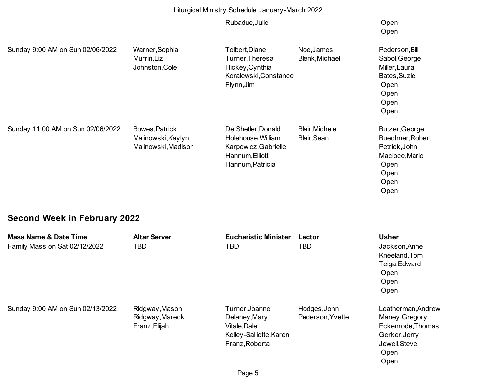#### Liturgical Ministry Schedule January-March 2022

#### Rubadue,Julie **Open**

### Open

| Sunday 9:00 AM on Sun 02/06/2022                                  | Warner, Sophia<br>Murrin, Liz<br>Johnston, Cole             | Tolbert, Diane<br>Turner, Theresa<br>Hickey, Cynthia<br>Koralewski, Constance<br>Flynn, Jim             | Noe, James<br>Blenk, Michael         | Pederson, Bill<br>Sabol, George<br>Miller, Laura<br>Bates, Suzie<br>Open<br>Open<br>Open<br>Open      |
|-------------------------------------------------------------------|-------------------------------------------------------------|---------------------------------------------------------------------------------------------------------|--------------------------------------|-------------------------------------------------------------------------------------------------------|
| Sunday 11:00 AM on Sun 02/06/2022                                 | Bowes, Patrick<br>Malinowski, Kaylyn<br>Malinowski, Madison | De Shetler, Donald<br>Holehouse, William<br>Karpowicz, Gabrielle<br>Hannum, Elliott<br>Hannum, Patricia | <b>Blair, Michele</b><br>Blair, Sean | Butzer, George<br>Buechner, Robert<br>Petrick, John<br>Macioce, Mario<br>Open<br>Open<br>Open<br>Open |
| <b>Second Week in February 2022</b>                               |                                                             |                                                                                                         |                                      |                                                                                                       |
| <b>Mass Name &amp; Date Time</b><br>Family Mass on Sat 02/12/2022 | <b>Altar Server</b><br>TBD                                  | <b>Eucharistic Minister</b><br><b>TBD</b>                                                               | Lector<br>TBD                        | <b>Usher</b><br>Jackson, Anne<br>Kneeland, Tom<br>Teiga, Edward                                       |

Sunday 9:00 AM on Sun 02/13/2022 Ridgway,Mason Turner,Joanne Hodges,John Leatherman,Andrew Ridgway,Mareck Delaney,Mary Pederson,Yvette Maney,Gregory Franz, Elijah Vitale, Dale Eckenrode, Thomas Kelley-Salliotte, Karen Gerker, Jerry Franz, Roberta **International Community** Sewell, Steve

 Open Open Open

 Open Open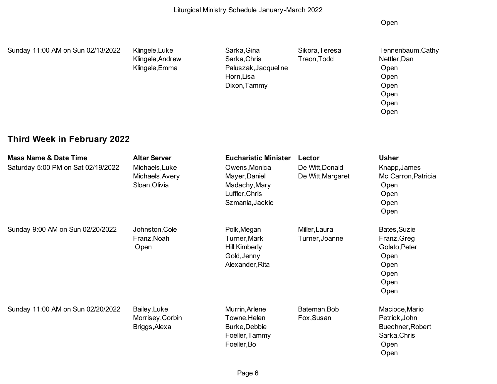Open

| Sunday 11:00 AM on Sun 02/13/2022 | Klingele, Luke<br>Klingele, Andrew | Sarka, Gina<br>Sarka, Chris | Sikora, Teresa<br>Treon, Todd | Tennenbaum, Cathy<br>Nettler, Dan |
|-----------------------------------|------------------------------------|-----------------------------|-------------------------------|-----------------------------------|
|                                   | Klingele, Emma                     | Paluszak, Jacqueline        |                               | Open                              |
|                                   |                                    | Horn, Lisa                  |                               | Open                              |
|                                   |                                    | Dixon, Tammy                |                               | Open                              |
|                                   |                                    |                             |                               | Open                              |
|                                   |                                    |                             |                               | Open                              |
|                                   |                                    |                             |                               | Open                              |
|                                   |                                    |                             |                               |                                   |

# **Third Week in February 2022**

| <b>Mass Name &amp; Date Time</b><br>Saturday 5:00 PM on Sat 02/19/2022 | <b>Altar Server</b><br>Michaels, Luke<br>Michaels, Avery<br>Sloan, Olivia | <b>Eucharistic Minister</b><br>Owens, Monica<br>Mayer, Daniel<br>Madachy, Mary<br>Luffler, Chris<br>Szmania, Jackie | Lector<br>De Witt, Donald<br>De Witt, Margaret | <b>Usher</b><br>Knapp, James<br>Mc Carron, Patricia<br>Open<br>Open<br>Open<br>Open  |
|------------------------------------------------------------------------|---------------------------------------------------------------------------|---------------------------------------------------------------------------------------------------------------------|------------------------------------------------|--------------------------------------------------------------------------------------|
| Sunday 9:00 AM on Sun 02/20/2022                                       | Johnston, Cole<br>Franz, Noah<br>Open                                     | Polk, Megan<br>Turner, Mark<br>Hill, Kimberly<br>Gold, Jenny<br>Alexander, Rita                                     | Miller, Laura<br>Turner, Joanne                | Bates, Suzie<br>Franz, Greg<br>Golato, Peter<br>Open<br>Open<br>Open<br>Open<br>Open |
| Sunday 11:00 AM on Sun 02/20/2022                                      | Bailey, Luke<br>Morrisey, Corbin<br>Briggs, Alexa                         | Murrin, Arlene<br>Towne, Helen<br>Burke, Debbie<br>Foeller, Tammy<br>Foeller, Bo                                    | Bateman, Bob<br>Fox, Susan                     | Macioce, Mario<br>Petrick, John<br>Buechner, Robert<br>Sarka, Chris<br>Open<br>Open  |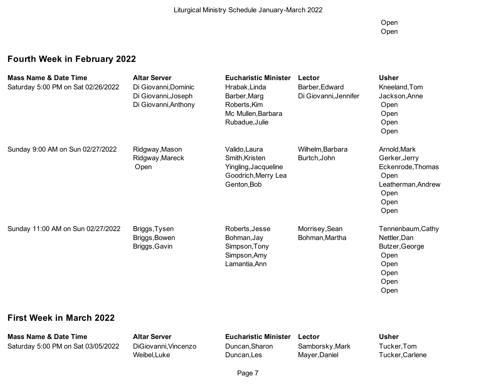Open Open

# **Fourth Week in February 2022**

| <b>Mass Name &amp; Date Time</b><br>Saturday 5:00 PM on Sat 02/26/2022 | <b>Altar Server</b><br>Di Giovanni, Dominic<br>Di Giovanni, Joseph<br>Di Giovanni, Anthony | <b>Eucharistic Minister</b><br>Hrabak, Linda<br>Barber, Marg<br>Roberts, Kim<br>Mc Mullen, Barbara<br>Rubadue, Julie | Lector<br>Barber, Edward<br>Di Giovanni, Jennifer | <b>Usher</b><br>Kneeland, Tom<br>Jackson, Anne<br>Open<br>Open<br>Open<br>Open                           |
|------------------------------------------------------------------------|--------------------------------------------------------------------------------------------|----------------------------------------------------------------------------------------------------------------------|---------------------------------------------------|----------------------------------------------------------------------------------------------------------|
| Sunday 9:00 AM on Sun 02/27/2022                                       | Ridgway, Mason<br>Ridgway, Mareck<br>Open                                                  | Valido, Laura<br>Smith, Kristen<br>Yingling, Jacqueline<br>Goodrich, Merry Lea<br>Genton, Bob                        | Wilhelm, Barbara<br>Burtch, John                  | Arnold, Mark<br>Gerker, Jerry<br>Eckenrode, Thomas<br>Open<br>Leatherman, Andrew<br>Open<br>Open<br>Open |
| Sunday 11:00 AM on Sun 02/27/2022                                      | Briggs, Tysen<br>Briggs, Bowen<br>Briggs, Gavin                                            | Roberts, Jesse<br>Bohman, Jay<br>Simpson, Tony<br>Simpson, Amy<br>Lamantia, Ann                                      | Morrisey, Sean<br>Bohman, Martha                  | Tennenbaum, Cathy<br>Nettler, Dan<br>Butzer, George<br>Open<br>Open<br>Open<br>Open<br>Open              |
| <b>First Week in March 2022</b>                                        |                                                                                            |                                                                                                                      |                                                   |                                                                                                          |
| <b>Mass Name &amp; Date Time</b><br>Saturday 5:00 PM on Sat 03/05/2022 | <b>Altar Server</b><br>DiGiovanni, Vincenzo<br>Weibel, Luke                                | <b>Eucharistic Minister</b><br>Duncan, Sharon<br>Duncan, Les                                                         | Lector<br>Samborsky, Mark<br>Mayer, Daniel        | <b>Usher</b><br>Tucker, Tom<br>Tucker, Carlene                                                           |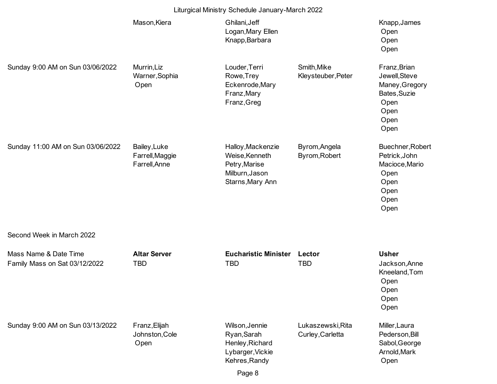|                                                        | Liturgical Ministry Schedule January-March 2022  |                                                                                            |                                       |                                                                                                 |
|--------------------------------------------------------|--------------------------------------------------|--------------------------------------------------------------------------------------------|---------------------------------------|-------------------------------------------------------------------------------------------------|
|                                                        | Mason, Kiera                                     | Ghilani, Jeff<br>Logan, Mary Ellen<br>Knapp, Barbara                                       |                                       | Knapp, James<br>Open<br>Open<br>Open                                                            |
| Sunday 9:00 AM on Sun 03/06/2022                       | Murrin, Liz<br>Warner, Sophia<br>Open            | Louder, Terri<br>Rowe, Trey<br>Eckenrode, Mary<br>Franz, Mary<br>Franz, Greg               | Smith, Mike<br>Kleysteuber, Peter     | Franz, Brian<br>Jewell, Steve<br>Maney, Gregory<br>Bates, Suzie<br>Open<br>Open<br>Open<br>Open |
| Sunday 11:00 AM on Sun 03/06/2022                      | Bailey, Luke<br>Farrell, Maggie<br>Farrell, Anne | Halloy, Mackenzie<br>Weise, Kenneth<br>Petry, Marise<br>Milburn, Jason<br>Starns, Mary Ann | Byrom, Angela<br>Byrom, Robert        | Buechner, Robert<br>Petrick, John<br>Macioce, Mario<br>Open<br>Open<br>Open<br>Open<br>Open     |
| Second Week in March 2022                              |                                                  |                                                                                            |                                       |                                                                                                 |
| Mass Name & Date Time<br>Family Mass on Sat 03/12/2022 | <b>Altar Server</b><br><b>TBD</b>                | <b>Eucharistic Minister</b><br><b>TBD</b>                                                  | Lector<br><b>TBD</b>                  | <b>Usher</b><br>Jackson, Anne<br>Kneeland, Tom<br>Open<br>Open<br>Open<br>Open                  |
| Sunday 9:00 AM on Sun 03/13/2022                       | Franz, Elijah<br>Johnston, Cole<br>Open          | Wilson, Jennie<br>Ryan, Sarah<br>Henley, Richard<br>Lybarger, Vickie<br>Kehres, Randy      | Lukaszewski, Rita<br>Curley, Carletta | Miller, Laura<br>Pederson, Bill<br>Sabol, George<br>Arnold, Mark<br>Open                        |
|                                                        |                                                  | Page 8                                                                                     |                                       |                                                                                                 |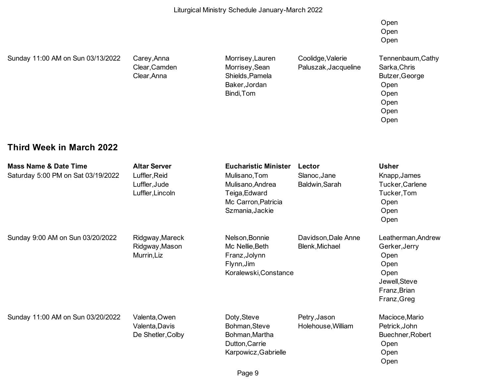Open Open Open

Sunday 11:00 AM on Sun 03/13/2022 Carey,Anna Morrisey,Lauren Coolidge,Valerie Tennenbaum,Cathy

Clear,Anna Shields,Pamela Butzer,George Baker,Jordan **Open** Open Bindi,Tom **Open** 

Clear,Camden Morrisey,Sean Paluszak,Jacqueline Sarka,Chris

 Open Open Open

### **Third Week in March 2022**

| <b>Mass Name &amp; Date Time</b>   | <b>Altar Server</b> | <b>Eucharistic Minister</b> | Lector              | <b>Usher</b>       |
|------------------------------------|---------------------|-----------------------------|---------------------|--------------------|
| Saturday 5:00 PM on Sat 03/19/2022 | Luffler, Reid       | Mulisano, Tom               | Slanoc, Jane        | Knapp, James       |
|                                    | Luffler, Jude       | Mulisano, Andrea            | Baldwin, Sarah      | Tucker, Carlene    |
|                                    | Luffler, Lincoln    | Teiga, Edward               |                     | Tucker, Tom        |
|                                    |                     | Mc Carron, Patricia         |                     | Open               |
|                                    |                     | Szmania, Jackie             |                     | Open               |
|                                    |                     |                             |                     | Open               |
| Sunday 9:00 AM on Sun 03/20/2022   | Ridgway, Mareck     | Nelson, Bonnie              | Davidson, Dale Anne | Leatherman, Andrew |
|                                    | Ridgway, Mason      | Mc Nellie, Beth             | Blenk, Michael      | Gerker, Jerry      |
|                                    | Murrin, Liz         | Franz, Jolynn               |                     | Open               |
|                                    |                     | Flynn, Jim                  |                     | Open               |
|                                    |                     | Koralewski, Constance       |                     | Open               |
|                                    |                     |                             |                     | Jewell, Steve      |
|                                    |                     |                             |                     | Franz, Brian       |
|                                    |                     |                             |                     | Franz, Greg        |
| Sunday 11:00 AM on Sun 03/20/2022  | Valenta, Owen       | Doty, Steve                 | Petry, Jason        | Macioce, Mario     |
|                                    | Valenta, Davis      | Bohman, Steve               | Holehouse, William  | Petrick, John      |
|                                    | De Shetler, Colby   | Bohman, Martha              |                     | Buechner, Robert   |
|                                    |                     | Dutton, Carrie              |                     | Open               |
|                                    |                     | Karpowicz, Gabrielle        |                     | Open               |
|                                    |                     |                             |                     | Open               |